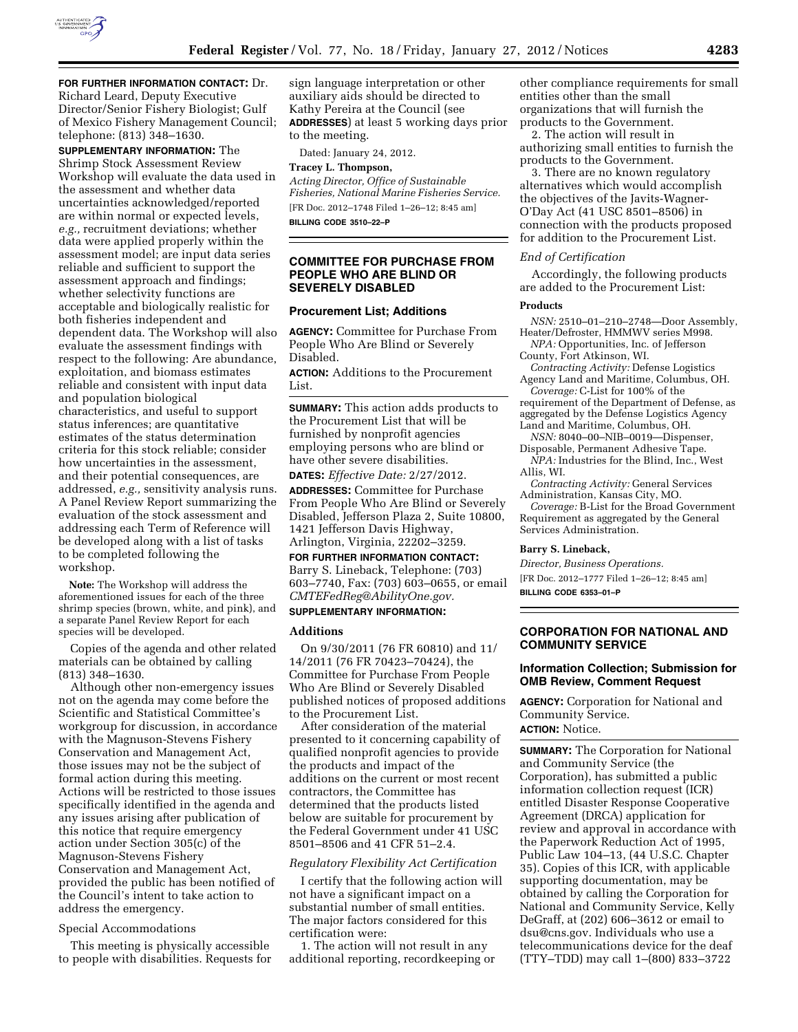

**FOR FURTHER INFORMATION CONTACT:** Dr. Richard Leard, Deputy Executive Director/Senior Fishery Biologist; Gulf of Mexico Fishery Management Council; telephone: (813) 348–1630.

**SUPPLEMENTARY INFORMATION:** The Shrimp Stock Assessment Review Workshop will evaluate the data used in the assessment and whether data uncertainties acknowledged/reported are within normal or expected levels, *e.g.,* recruitment deviations; whether data were applied properly within the assessment model; are input data series reliable and sufficient to support the assessment approach and findings; whether selectivity functions are acceptable and biologically realistic for both fisheries independent and dependent data. The Workshop will also evaluate the assessment findings with respect to the following: Are abundance, exploitation, and biomass estimates reliable and consistent with input data and population biological characteristics, and useful to support status inferences; are quantitative estimates of the status determination criteria for this stock reliable; consider how uncertainties in the assessment, and their potential consequences, are addressed, *e.g.,* sensitivity analysis runs. A Panel Review Report summarizing the evaluation of the stock assessment and addressing each Term of Reference will be developed along with a list of tasks to be completed following the workshop.

**Note:** The Workshop will address the aforementioned issues for each of the three shrimp species (brown, white, and pink), and a separate Panel Review Report for each species will be developed.

Copies of the agenda and other related materials can be obtained by calling (813) 348–1630.

Although other non-emergency issues not on the agenda may come before the Scientific and Statistical Committee's workgroup for discussion, in accordance with the Magnuson-Stevens Fishery Conservation and Management Act, those issues may not be the subject of formal action during this meeting. Actions will be restricted to those issues specifically identified in the agenda and any issues arising after publication of this notice that require emergency action under Section 305(c) of the Magnuson-Stevens Fishery Conservation and Management Act, provided the public has been notified of the Council's intent to take action to address the emergency.

## Special Accommodations

This meeting is physically accessible to people with disabilities. Requests for

sign language interpretation or other auxiliary aids should be directed to Kathy Pereira at the Council (see **ADDRESSES**) at least 5 working days prior to the meeting.

Dated: January 24, 2012.

# **Tracey L. Thompson,**

*Acting Director, Office of Sustainable Fisheries, National Marine Fisheries Service.*  [FR Doc. 2012–1748 Filed 1–26–12; 8:45 am]

**BILLING CODE 3510–22–P** 

# **COMMITTEE FOR PURCHASE FROM PEOPLE WHO ARE BLIND OR SEVERELY DISABLED**

#### **Procurement List; Additions**

**AGENCY:** Committee for Purchase From People Who Are Blind or Severely Disabled.

**ACTION:** Additions to the Procurement List.

**SUMMARY:** This action adds products to the Procurement List that will be furnished by nonprofit agencies employing persons who are blind or have other severe disabilities.

**DATES:** *Effective Date:* 2/27/2012.

**ADDRESSES:** Committee for Purchase From People Who Are Blind or Severely Disabled, Jefferson Plaza 2, Suite 10800, 1421 Jefferson Davis Highway, Arlington, Virginia, 22202–3259.

**FOR FURTHER INFORMATION CONTACT:**  Barry S. Lineback, Telephone: (703)

603–7740, Fax: (703) 603–0655, or email *[CMTEFedReg@AbilityOne.gov.](mailto:CMTEFedReg@AbilityOne.gov)*  **SUPPLEMENTARY INFORMATION:** 

# **Additions**

On 9/30/2011 (76 FR 60810) and 11/ 14/2011 (76 FR 70423–70424), the Committee for Purchase From People Who Are Blind or Severely Disabled published notices of proposed additions to the Procurement List.

After consideration of the material presented to it concerning capability of qualified nonprofit agencies to provide the products and impact of the additions on the current or most recent contractors, the Committee has determined that the products listed below are suitable for procurement by the Federal Government under 41 USC 8501–8506 and 41 CFR 51–2.4.

## *Regulatory Flexibility Act Certification*

I certify that the following action will not have a significant impact on a substantial number of small entities. The major factors considered for this certification were:

1. The action will not result in any additional reporting, recordkeeping or

other compliance requirements for small entities other than the small organizations that will furnish the products to the Government.

2. The action will result in authorizing small entities to furnish the products to the Government.

3. There are no known regulatory alternatives which would accomplish the objectives of the Javits-Wagner-O'Day Act (41 USC 8501–8506) in connection with the products proposed for addition to the Procurement List.

## *End of Certification*

Accordingly, the following products are added to the Procurement List:

## **Products**

*NSN:* 2510–01–210–2748—Door Assembly, Heater/Defroster, HMMWV series M998.

*NPA:* Opportunities, Inc. of Jefferson County, Fort Atkinson, WI.

*Contracting Activity:* Defense Logistics Agency Land and Maritime, Columbus, OH.

*Coverage:* C-List for 100% of the requirement of the Department of Defense, as aggregated by the Defense Logistics Agency Land and Maritime, Columbus, OH.

- *NSN:* 8040–00–NIB–0019—Dispenser, Disposable, Permanent Adhesive Tape.
- *NPA:* Industries for the Blind, Inc., West Allis, WI.
- *Contracting Activity:* General Services Administration, Kansas City, MO.

*Coverage:* B-List for the Broad Government Requirement as aggregated by the General Services Administration.

## **Barry S. Lineback,**

*Director, Business Operations.* 

[FR Doc. 2012–1777 Filed 1–26–12; 8:45 am]

**BILLING CODE 6353–01–P** 

## **CORPORATION FOR NATIONAL AND COMMUNITY SERVICE**

## **Information Collection; Submission for OMB Review, Comment Request**

**AGENCY:** Corporation for National and Community Service. **ACTION:** Notice.

**SUMMARY:** The Corporation for National and Community Service (the Corporation), has submitted a public information collection request (ICR) entitled Disaster Response Cooperative Agreement (DRCA) application for review and approval in accordance with the Paperwork Reduction Act of 1995, Public Law 104–13, (44 U.S.C. Chapter 35). Copies of this ICR, with applicable supporting documentation, may be obtained by calling the Corporation for National and Community Service, Kelly DeGraff, at (202) 606–3612 or email to [dsu@cns.gov.](mailto:dsu@cns.gov) Individuals who use a telecommunications device for the deaf (TTY–TDD) may call 1–(800) 833–3722